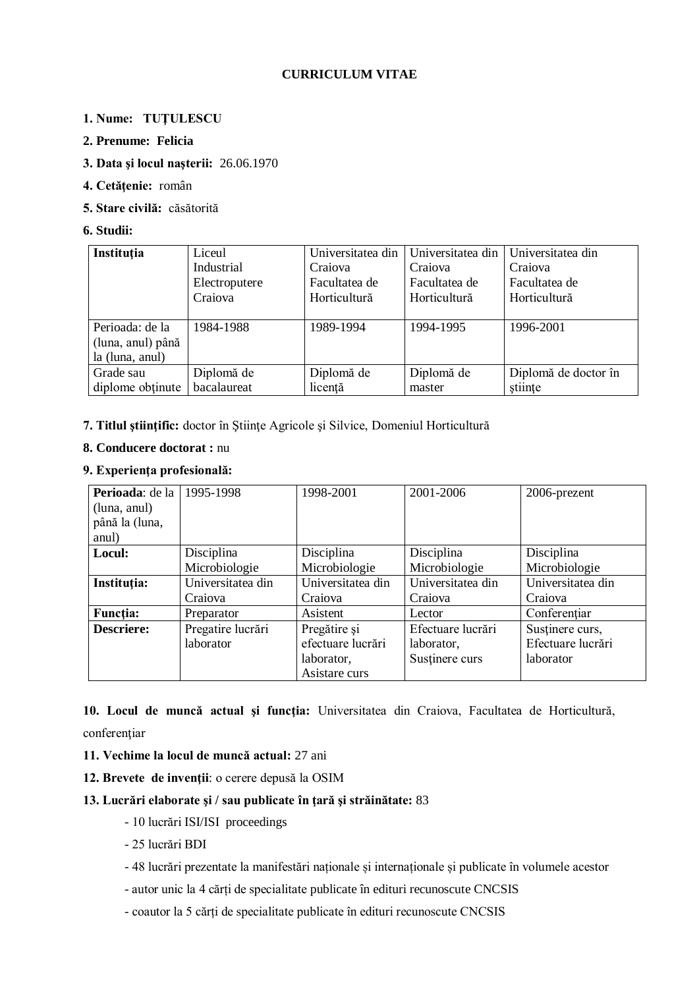# **CURRICULUM VITAE**

# **1. Nume: TUŢULESCU**

### **2. Prenume: Felicia**

### **3. Data şi locul naşterii:** 26.06.1970

- **4. Cetăţenie:** român
- **5. Stare civilă:** căsătorită

### **6. Studii:**

| Instituția        | Liceul        | Universitatea din   | Universitatea din | Universitatea din    |
|-------------------|---------------|---------------------|-------------------|----------------------|
|                   | Industrial    | Craiova             | Craiova           | Craiova              |
|                   | Electroputere | Facultatea de       | Facultatea de     | Facultatea de        |
|                   | Craiova       | <b>Horticultură</b> | Horticultură      | Horticultură         |
|                   |               |                     |                   |                      |
| Perioada: de la   | 1984-1988     | 1989-1994           | 1994-1995         | 1996-2001            |
| (luna, anul) până |               |                     |                   |                      |
| la (luna, anul)   |               |                     |                   |                      |
| Grade sau         | Diplomă de    | Diplomă de          | Diplomă de        | Diplomă de doctor în |
| diplome obtinute  | bacalaureat   | licență             | master            | stiințe              |

## **7. Titlul ştiinţific:** doctor în Ştiinţe Agricole şi Silvice, Domeniul Horticultură

### **8. Conducere doctorat :** nu

### **9. Experienţa profesională:**

| Perioada: de la   | 1995-1998         | 1998-2001         | 2001-2006         | 2006-prezent      |
|-------------------|-------------------|-------------------|-------------------|-------------------|
| (luna, anul)      |                   |                   |                   |                   |
| până la (luna,    |                   |                   |                   |                   |
| anul)             |                   |                   |                   |                   |
| Locul:            | Disciplina        | Disciplina        | Disciplina        | Disciplina        |
|                   | Microbiologie     | Microbiologie     | Microbiologie     | Microbiologie     |
| Instituția:       | Universitatea din | Universitatea din | Universitatea din | Universitatea din |
|                   | Craiova           | Craiova           | Craiova           | Craiova           |
| <b>Functia:</b>   | Preparator        | Asistent          | Lector            | Conferențiar      |
| <b>Descriere:</b> | Pregatire lucrări | Pregătire și      | Efectuare lucrări | Sustinere curs,   |
|                   | laborator         | efectuare lucrări | laborator,        | Efectuare lucrări |
|                   |                   | laborator,        | Sustinere curs    | laborator         |
|                   |                   | Asistare curs     |                   |                   |

# **10. Locul de muncă actual şi funcţia:** Universitatea din Craiova, Facultatea de Horticultură, conferenţiar

- **11. Vechime la locul de muncă actual:** 27 ani
- **12. Brevete de invenţii**: o cerere depusă la OSIM

## **13. Lucrări elaborate şi / sau publicate în ţară şi străinătate:** 83

- 10 lucrări ISI/ISI proceedings
- 25 lucrări BDI
- 48 lucrări prezentate la manifestări naționale și internaționale și publicate în volumele acestor
- autor unic la 4 cărți de specialitate publicate în edituri recunoscute CNCSIS
- coautor la 5 cărți de specialitate publicate în edituri recunoscute CNCSIS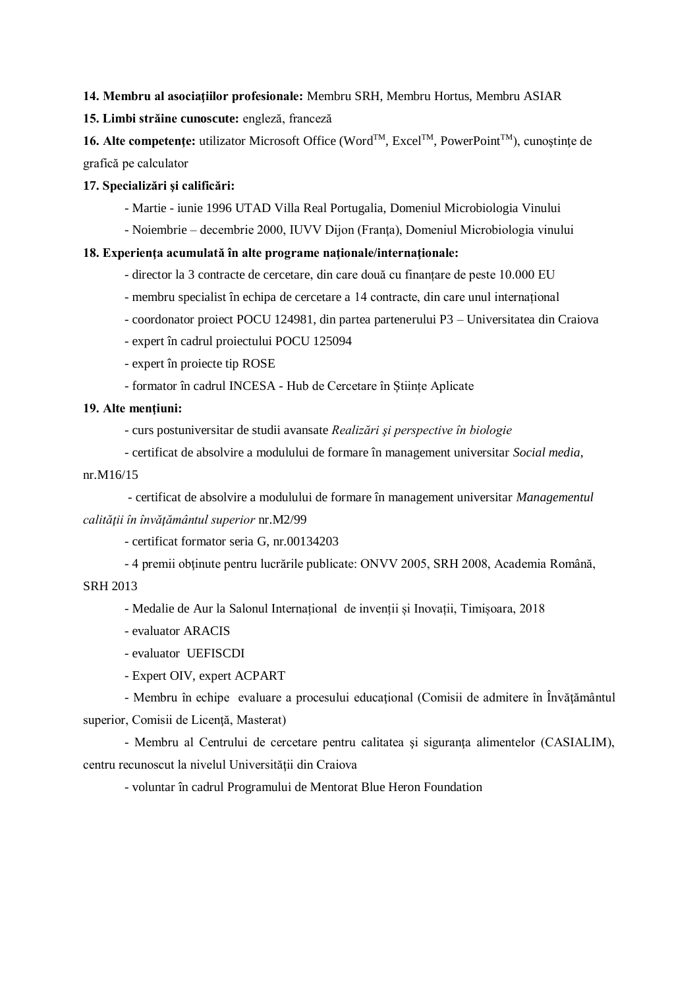#### **14. Membru al asociaţiilor profesionale:** Membru SRH, Membru Hortus, Membru ASIAR

**15. Limbi străine cunoscute:** engleză, franceză

**16. Alte competente:** utilizator Microsoft Office (Word™, Excel™, PowerPoint<sup>™</sup>), cunostinte de grafică pe calculator

### **17. Specializări şi calificări:**

- Martie iunie 1996 UTAD Villa Real Portugalia, Domeniul Microbiologia Vinului
- Noiembrie decembrie 2000, IUVV Dijon (Franța), Domeniul Microbiologia vinului

#### 18. Experienta acumulată în alte programe nationale/internationale:

- director la 3 contracte de cercetare, din care două cu finanțare de peste 10.000 EU
- membru specialist în echipa de cercetare a 14 contracte, din care unul internațional
- coordonator proiect POCU 124981, din partea partenerului P3 Universitatea din Craiova
- expert în cadrul proiectului POCU 125094
- expert în proiecte tip ROSE
- formator în cadrul INCESA Hub de Cercetare în Științe Aplicate

### 19. Alte mentiuni:

- curs postuniversitar de studii avansate *Realizări şi perspective în biologie*
- certificat de absolvire a modulului de formare în management universitar *Social media*,

#### nr.M16/15

- certificat de absolvire a modulului de formare în management universitar *Managementul calităţii în învăţământul superior* nr.M2/99

- certificat formator seria G, nr.00134203

- 4 premii obţinute pentru lucrările publicate: ONVV 2005, SRH 2008, Academia Română, SRH 2013

- Medalie de Aur la Salonul Internațional de invenții și Inovații, Timișoara, 2018

- evaluator ARACIS
- evaluator UEFISCDI
- Expert OIV, expert ACPART

- Membru în echipe evaluare a procesului educaţional (Comisii de admitere în Învăţământul superior, Comisii de Licență, Masterat)

- Membru al Centrului de cercetare pentru calitatea şi siguranţa alimentelor (CASIALIM), centru recunoscut la nivelul Universității din Craiova

- voluntar în cadrul Programului de Mentorat Blue Heron Foundation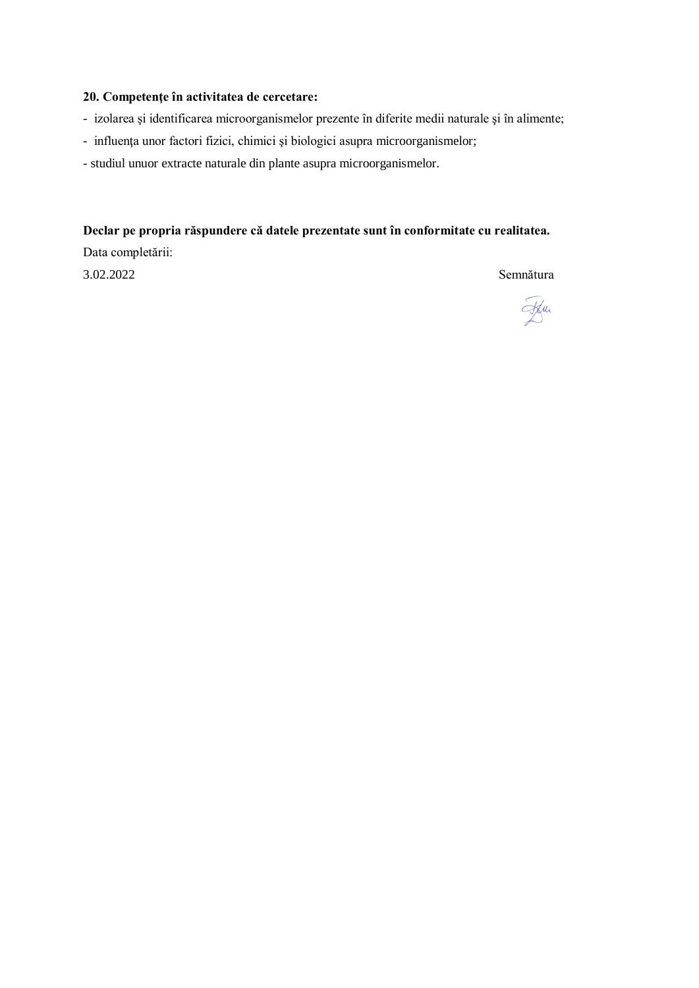# **20. Competenţe în activitatea de cercetare:**

- izolarea şi identificarea microorganismelor prezente în diferite medii naturale şi în alimente;
- influenţa unor factori fizici, chimici şi biologici asupra microorganismelor;
- studiul unuor extracte naturale din plante asupra microorganismelor.

### **Declar pe propria răspundere că datele prezentate sunt în conformitate cu realitatea.**

Data completării: 3.02.2022 Semnătura

Ffur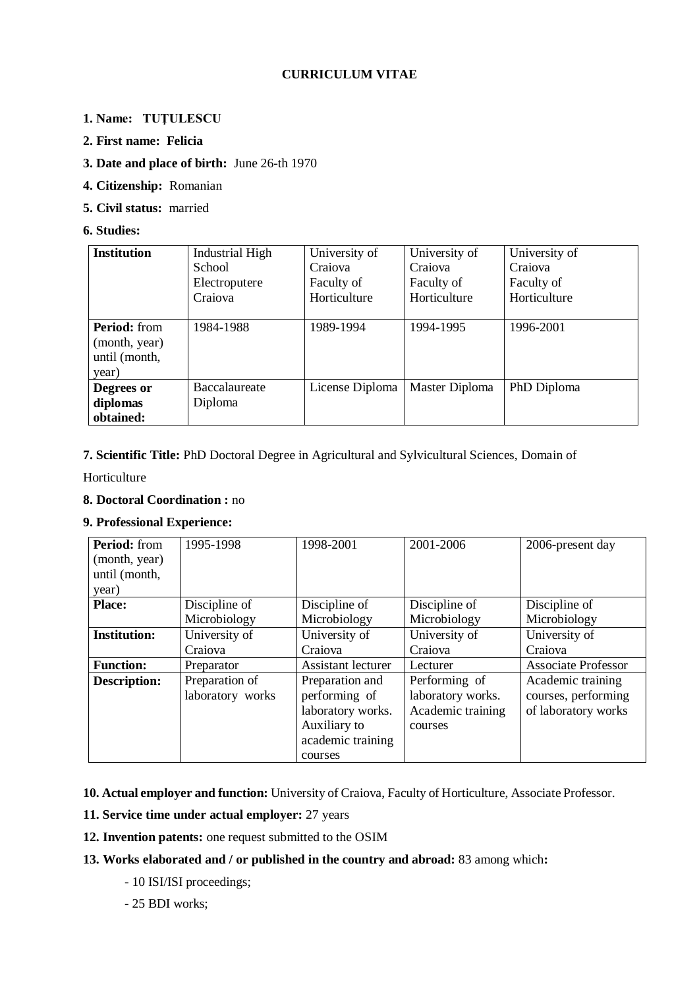# **CURRICULUM VITAE**

# **1. Name: TUŢULESCU**

- **2. First name: Felicia**
- **3. Date and place of birth:** June 26-th 1970
- **4. Citizenship:** Romanian
- **5. Civil status:** married

### **6. Studies:**

| <b>Institution</b>  | <b>Industrial High</b> | University of   | University of  | University of |
|---------------------|------------------------|-----------------|----------------|---------------|
|                     | School                 | Craiova         | Craiova        | Craiova       |
|                     | Electroputere          | Faculty of      | Faculty of     | Faculty of    |
|                     | Craiova                | Horticulture    | Horticulture   | Horticulture  |
|                     |                        |                 |                |               |
| <b>Period:</b> from | 1984-1988              | 1989-1994       | 1994-1995      | 1996-2001     |
| (month, year)       |                        |                 |                |               |
| until (month,       |                        |                 |                |               |
| year)               |                        |                 |                |               |
| Degrees or          | Baccalaureate          | License Diploma | Master Diploma | PhD Diploma   |
| diplomas            | Diploma                |                 |                |               |
| obtained:           |                        |                 |                |               |

## **7. Scientific Title:** PhD Doctoral Degree in Agricultural and Sylvicultural Sciences, Domain of

Horticulture

# **8. Doctoral Coordination :** no

## **9. Professional Experience:**

| Period: from<br>(month, year)<br>until (month,<br>year) | 1995-1998        | 1998-2001          | 2001-2006         | 2006-present day           |
|---------------------------------------------------------|------------------|--------------------|-------------------|----------------------------|
| <b>Place:</b>                                           | Discipline of    | Discipline of      | Discipline of     | Discipline of              |
|                                                         | Microbiology     | Microbiology       | Microbiology      | Microbiology               |
| <b>Institution:</b>                                     | University of    | University of      | University of     | University of              |
|                                                         | Craiova          | Craiova            | Craiova           | Craiova                    |
| <b>Function:</b>                                        | Preparator       | Assistant lecturer | Lecturer          | <b>Associate Professor</b> |
| <b>Description:</b>                                     | Preparation of   | Preparation and    | Performing of     | Academic training          |
|                                                         | laboratory works | performing of      | laboratory works. | courses, performing        |
|                                                         |                  | laboratory works.  | Academic training | of laboratory works        |
|                                                         |                  | Auxiliary to       | courses           |                            |
|                                                         |                  | academic training  |                   |                            |
|                                                         |                  | courses            |                   |                            |

**10. Actual employer and function:** University of Craiova, Faculty of Horticulture, Associate Professor.

**11. Service time under actual employer:** 27 years

**12. Invention patents:** one request submitted to the OSIM

## **13. Works elaborated and / or published in the country and abroad:** 83 among which**:**

- 10 ISI/ISI proceedings;

## - 25 BDI works;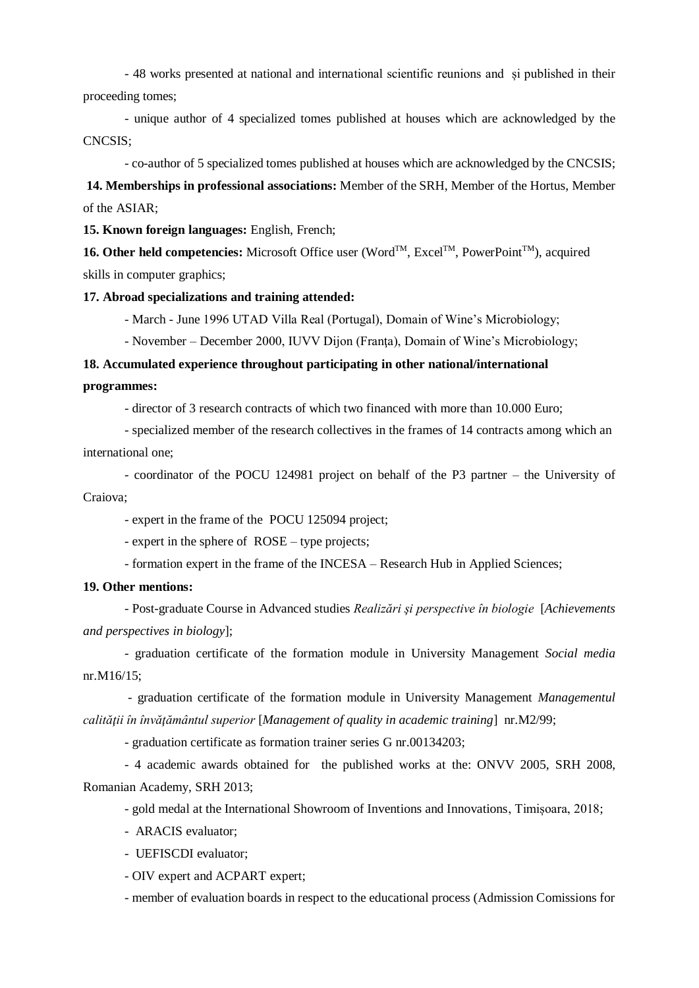- 48 works presented at national and international scientific reunions and și published in their proceeding tomes;

- unique author of 4 specialized tomes published at houses which are acknowledged by the CNCSIS;

- co-author of 5 specialized tomes published at houses which are acknowledged by the CNCSIS;

**14. Memberships in professional associations:** Member of the SRH, Member of the Hortus, Member of the ASIAR;

**15. Known foreign languages:** English, French;

**16. Other held competencies:** Microsoft Office user (Word<sup>™</sup>, Excel<sup>™</sup>, PowerPoint<sup>™</sup>), acquired skills in computer graphics;

**17. Abroad specializations and training attended:**

- March - June 1996 UTAD Villa Real (Portugal), Domain of Wine's Microbiology;

- November – December 2000, IUVV Dijon (Franţa), Domain of Wine's Microbiology;

**18. Accumulated experience throughout participating in other national/international programmes:**

- director of 3 research contracts of which two financed with more than 10.000 Euro;

- specialized member of the research collectives in the frames of 14 contracts among which an international one;

- coordinator of the POCU 124981 project on behalf of the P3 partner – the University of Craiova;

- expert in the frame of the POCU 125094 project;

- expert in the sphere of ROSE – type projects;

- formation expert in the frame of the INCESA – Research Hub in Applied Sciences;

#### **19. Other mentions:**

- Post-graduate Course in Advanced studies *Realizări şi perspective în biologie* [*Achievements and perspectives in biology*];

- graduation certificate of the formation module in University Management *Social media* nr.M16/15;

- graduation certificate of the formation module in University Management *Managementul calităţii în învăţământul superior* [*Management of quality in academic training*]nr.M2/99;

- graduation certificate as formation trainer series G nr.00134203;

- 4 academic awards obtained for the published works at the: ONVV 2005, SRH 2008, Romanian Academy, SRH 2013;

- gold medal at the International Showroom of Inventions and Innovations, Timișoara, 2018;

- ARACIS evaluator;

- UEFISCDI evaluator;

- OIV expert and ACPART expert;

- member of evaluation boards in respect to the educational process (Admission Comissions for